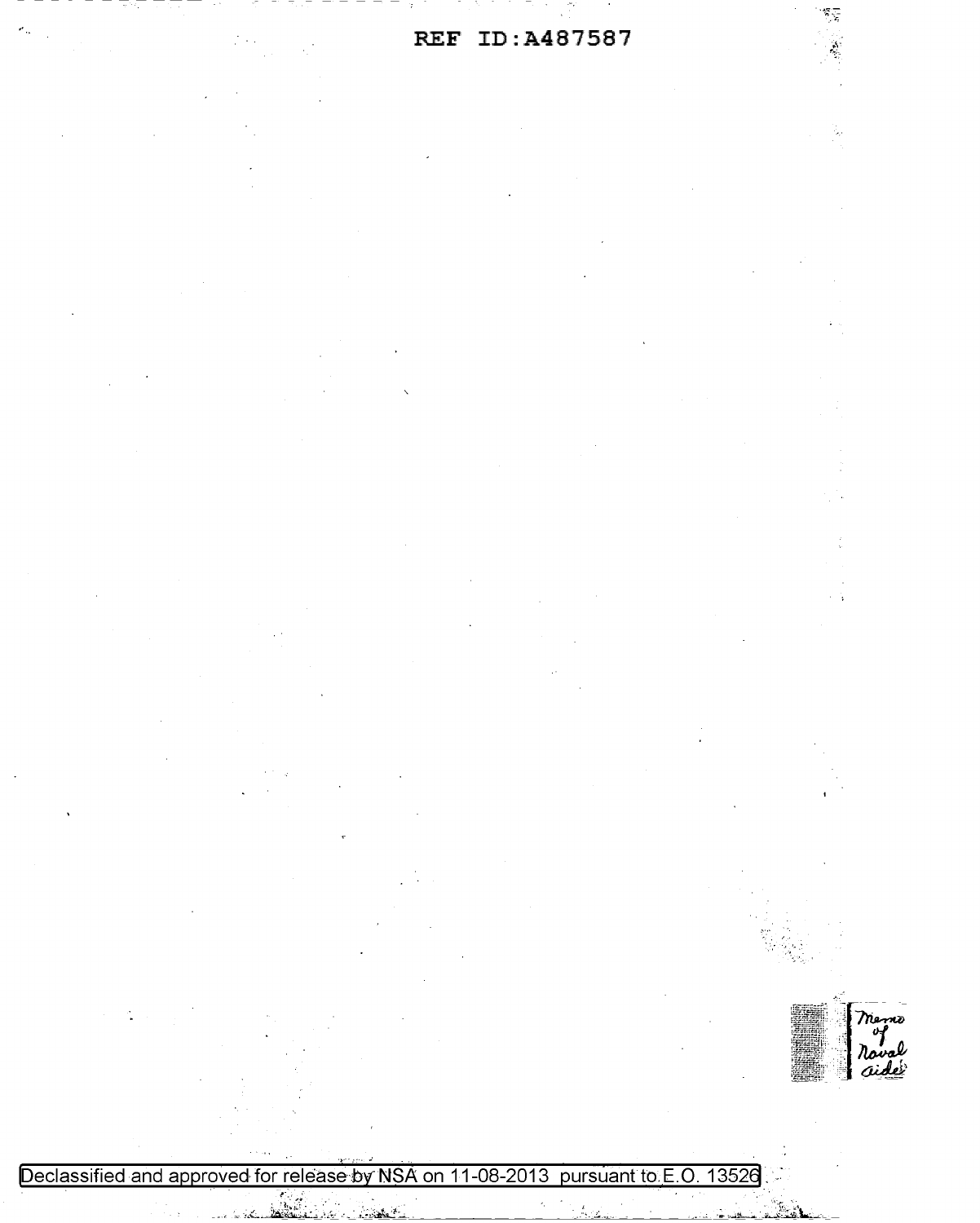REF ID: A487587



 $\sum_{i=1}^n$ 

Declassified and approved for release by NSA on 11-08-2013 pursuant to E.O. 13526 

 $\hat{\mathcal{A}}$